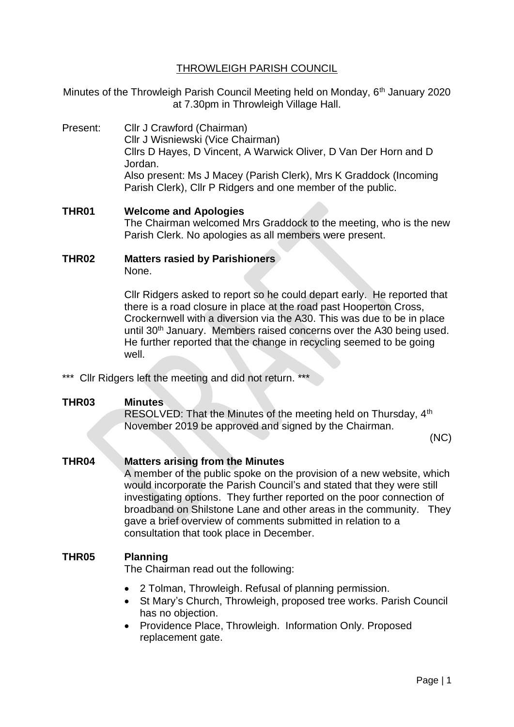# THROWLEIGH PARISH COUNCIL

Minutes of the Throwleigh Parish Council Meeting held on Monday, 6<sup>th</sup> January 2020 at 7.30pm in Throwleigh Village Hall.

Present: Cllr J Crawford (Chairman) Cllr J Wisniewski (Vice Chairman) Cllrs D Hayes, D Vincent, A Warwick Oliver, D Van Der Horn and D Jordan. Also present: Ms J Macey (Parish Clerk), Mrs K Graddock (Incoming Parish Clerk), Cllr P Ridgers and one member of the public.

**THR01 Welcome and Apologies** The Chairman welcomed Mrs Graddock to the meeting, who is the new Parish Clerk. No apologies as all members were present.

### **THR02 Matters rasied by Parishioners**

None.

Cllr Ridgers asked to report so he could depart early. He reported that there is a road closure in place at the road past Hooperton Cross, Crockernwell with a diversion via the A30. This was due to be in place until 30<sup>th</sup> January. Members raised concerns over the A30 being used. He further reported that the change in recycling seemed to be going well.

\*\*\* Cllr Ridgers left the meeting and did not return. \*\*\*

### **THR03 Minutes**

RESOLVED: That the Minutes of the meeting held on Thursday, 4<sup>th</sup> November 2019 be approved and signed by the Chairman.

(NC)

### **THR04 Matters arising from the Minutes**

A member of the public spoke on the provision of a new website, which would incorporate the Parish Council's and stated that they were still investigating options. They further reported on the poor connection of broadband on Shilstone Lane and other areas in the community. They gave a brief overview of comments submitted in relation to a consultation that took place in December.

### **THR05 Planning**

The Chairman read out the following:

- 2 Tolman, Throwleigh. Refusal of planning permission.
- St Mary's Church, Throwleigh, proposed tree works. Parish Council has no objection.
- Providence Place, Throwleigh. Information Only. Proposed replacement gate.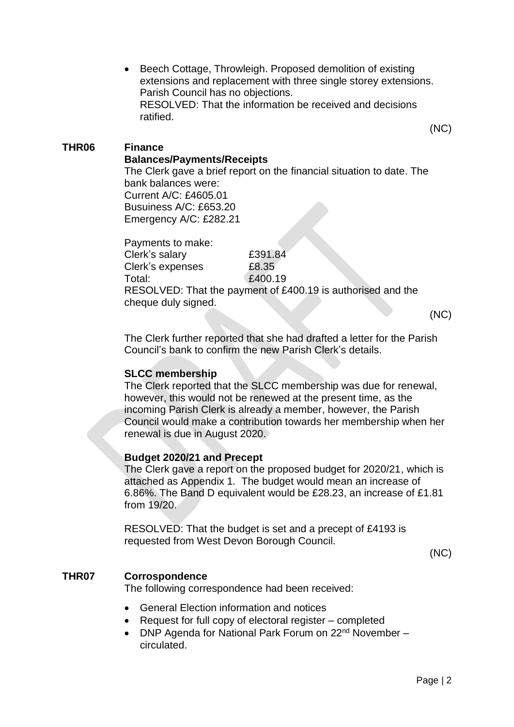• Beech Cottage, Throwleigh. Proposed demolition of existing extensions and replacement with three single storey extensions. Parish Council has no objections. RESOLVED: That the information be received and decisions ratified.

(NC)

## **THR06 Finance**

# **Balances/Payments/Receipts**

The Clerk gave a brief report on the financial situation to date. The bank balances were: Current A/C: £4605.01 Busuiness A/C: £653.20 Emergency A/C: £282.21

Payments to make: Clerk's salary £391.84 Clerk's expenses £8.35 Total: 6.400.19 RESOLVED: That the payment of £400.19 is authorised and the cheque duly signed.

(NC)

The Clerk further reported that she had drafted a letter for the Parish Council's bank to confirm the new Parish Clerk's details.

### **SLCC membership**

The Clerk reported that the SLCC membership was due for renewal, however, this would not be renewed at the present time, as the incoming Parish Clerk is already a member, however, the Parish Council would make a contribution towards her membership when her renewal is due in August 2020.

### **Budget 2020/21 and Precept**

The Clerk gave a report on the proposed budget for 2020/21, which is attached as Appendix 1. The budget would mean an increase of 6.86%. The Band D equivalent would be £28.23, an increase of £1.81 from 19/20.

RESOLVED: That the budget is set and a precept of £4193 is requested from West Devon Borough Council.

(NC)

### **THR07 Corrospondence**

The following correspondence had been received:

- General Election information and notices
- Request for full copy of electoral register completed
- DNP Agenda for National Park Forum on 22<sup>nd</sup> November circulated.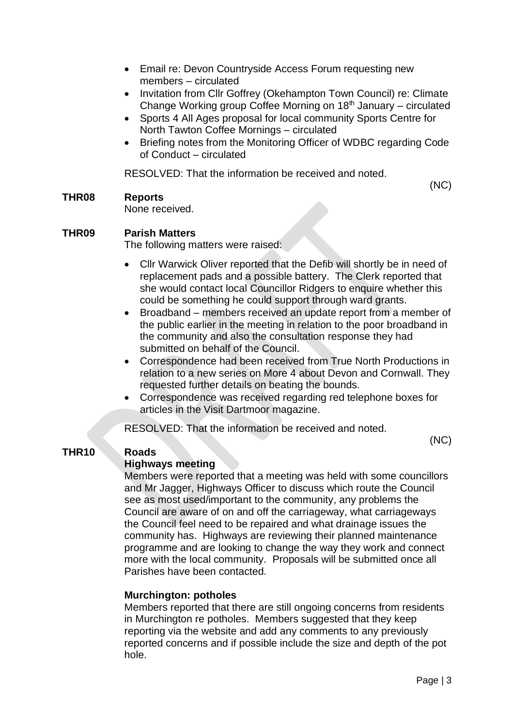- Email re: Devon Countryside Access Forum requesting new members – circulated
- Invitation from Cllr Goffrey (Okehampton Town Council) re: Climate Change Working group Coffee Morning on  $18<sup>th</sup>$  January – circulated
- Sports 4 All Ages proposal for local community Sports Centre for North Tawton Coffee Mornings – circulated
- Briefing notes from the Monitoring Officer of WDBC regarding Code of Conduct – circulated

RESOLVED: That the information be received and noted.

# **THR08 Reports**

(NC)

None received.

# **THR09 Parish Matters**

The following matters were raised:

- Cllr Warwick Oliver reported that the Defib will shortly be in need of replacement pads and a possible battery. The Clerk reported that she would contact local Councillor Ridgers to enquire whether this could be something he could support through ward grants.
- Broadband members received an update report from a member of the public earlier in the meeting in relation to the poor broadband in the community and also the consultation response they had submitted on behalf of the Council.
- Correspondence had been received from True North Productions in relation to a new series on More 4 about Devon and Cornwall. They requested further details on beating the bounds.
- Correspondence was received regarding red telephone boxes for articles in the Visit Dartmoor magazine.

RESOLVED: That the information be received and noted.

# **THR10 Roads**

# **Highways meeting**

(NC)

Members were reported that a meeting was held with some councillors and Mr Jagger, Highways Officer to discuss which route the Council see as most used/important to the community, any problems the Council are aware of on and off the carriageway, what carriageways the Council feel need to be repaired and what drainage issues the community has. Highways are reviewing their planned maintenance programme and are looking to change the way they work and connect more with the local community. Proposals will be submitted once all Parishes have been contacted.

### **Murchington: potholes**

Members reported that there are still ongoing concerns from residents in Murchington re potholes. Members suggested that they keep reporting via the website and add any comments to any previously reported concerns and if possible include the size and depth of the pot hole.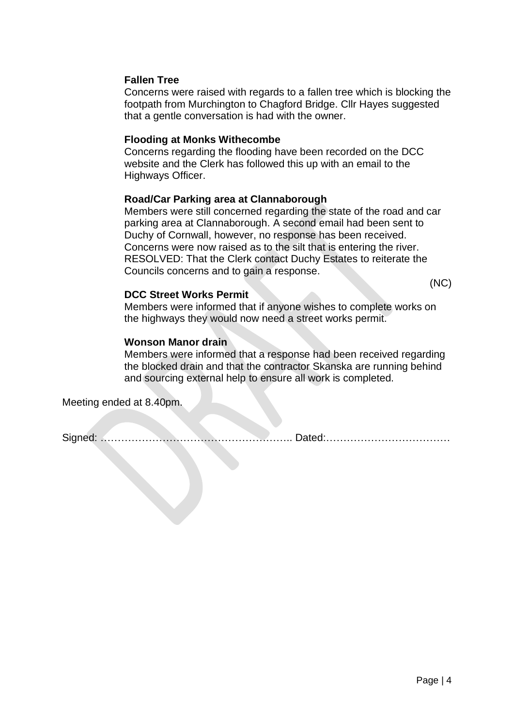### **Fallen Tree**

Concerns were raised with regards to a fallen tree which is blocking the footpath from Murchington to Chagford Bridge. Cllr Hayes suggested that a gentle conversation is had with the owner.

### **Flooding at Monks Withecombe**

Concerns regarding the flooding have been recorded on the DCC website and the Clerk has followed this up with an email to the Highways Officer.

### **Road/Car Parking area at Clannaborough**

Members were still concerned regarding the state of the road and car parking area at Clannaborough. A second email had been sent to Duchy of Cornwall, however, no response has been received. Concerns were now raised as to the silt that is entering the river. RESOLVED: That the Clerk contact Duchy Estates to reiterate the Councils concerns and to gain a response.

(NC)

### **DCC Street Works Permit**

Members were informed that if anyone wishes to complete works on the highways they would now need a street works permit.

### **Wonson Manor drain**

Members were informed that a response had been received regarding the blocked drain and that the contractor Skanska are running behind and sourcing external help to ensure all work is completed.

Meeting ended at 8.40pm.

Signed: ……………………………………………….. Dated:………………………………